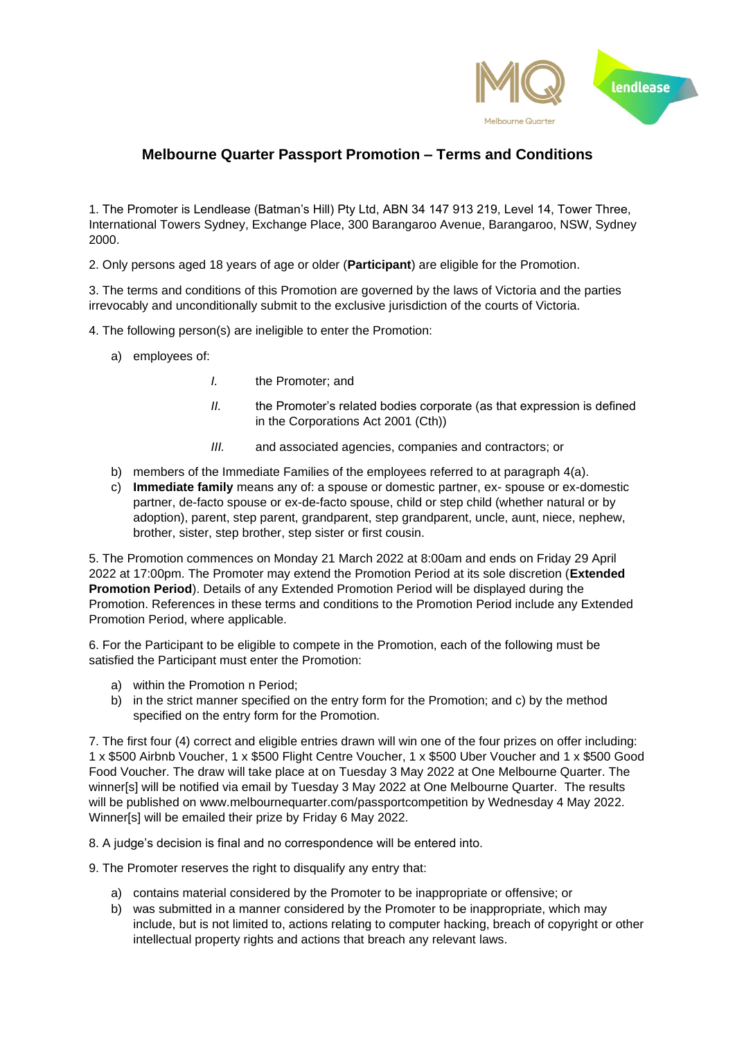

## **Melbourne Quarter Passport Promotion – Terms and Conditions**

1. The Promoter is Lendlease (Batman's Hill) Pty Ltd, ABN 34 147 913 219, Level 14, Tower Three, International Towers Sydney, Exchange Place, 300 Barangaroo Avenue, Barangaroo, NSW, Sydney 2000.

2. Only persons aged 18 years of age or older (**Participant**) are eligible for the Promotion.

3. The terms and conditions of this Promotion are governed by the laws of Victoria and the parties irrevocably and unconditionally submit to the exclusive jurisdiction of the courts of Victoria.

4. The following person(s) are ineligible to enter the Promotion:

- a) employees of:
	- *I.* the Promoter; and
	- *II.* the Promoter's related bodies corporate (as that expression is defined in the Corporations Act 2001 (Cth))
	- *III.* and associated agencies, companies and contractors; or
- b) members of the Immediate Families of the employees referred to at paragraph 4(a).
- c) **Immediate family** means any of: a spouse or domestic partner, ex- spouse or ex-domestic partner, de-facto spouse or ex-de-facto spouse, child or step child (whether natural or by adoption), parent, step parent, grandparent, step grandparent, uncle, aunt, niece, nephew, brother, sister, step brother, step sister or first cousin.

5. The Promotion commences on Monday 21 March 2022 at 8:00am and ends on Friday 29 April 2022 at 17:00pm. The Promoter may extend the Promotion Period at its sole discretion (**Extended Promotion Period**). Details of any Extended Promotion Period will be displayed during the Promotion. References in these terms and conditions to the Promotion Period include any Extended Promotion Period, where applicable.

6. For the Participant to be eligible to compete in the Promotion, each of the following must be satisfied the Participant must enter the Promotion:

- a) within the Promotion n Period;
- b) in the strict manner specified on the entry form for the Promotion; and c) by the method specified on the entry form for the Promotion.

7. The first four (4) correct and eligible entries drawn will win one of the four prizes on offer including: 1 x \$500 Airbnb Voucher, 1 x \$500 Flight Centre Voucher, 1 x \$500 Uber Voucher and 1 x \$500 Good Food Voucher. The draw will take place at on Tuesday 3 May 2022 at One Melbourne Quarter. The winner[s] will be notified via email by Tuesday 3 May 2022 at One Melbourne Quarter. The results will be published on www.melbournequarter.com/passportcompetition by Wednesday 4 May 2022. Winner[s] will be emailed their prize by Friday 6 May 2022.

8. A judge's decision is final and no correspondence will be entered into.

9. The Promoter reserves the right to disqualify any entry that:

- a) contains material considered by the Promoter to be inappropriate or offensive; or
- b) was submitted in a manner considered by the Promoter to be inappropriate, which may include, but is not limited to, actions relating to computer hacking, breach of copyright or other intellectual property rights and actions that breach any relevant laws.